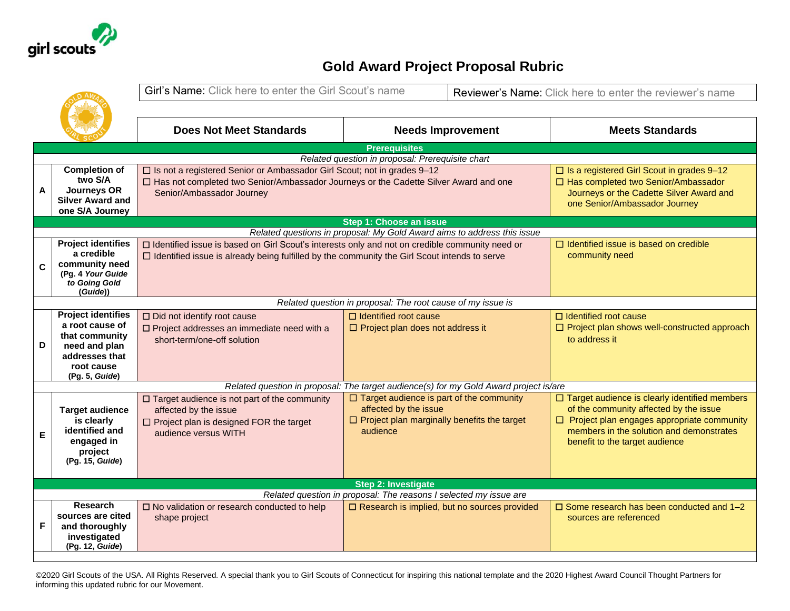

## **Gold Award Project Proposal Rubric**

|                                                                                                                                   | Girl's Name: Click here to enter the Girl Scout's name                                                                                                 |                                               |                                                                                                      | Reviewer's Name: Click here to enter the reviewer's name                                                                                                                                                                                                                                                                                                                                                                                                                                                                                                                                                                                                                                                                                                                                 |  |  |  |  |  |
|-----------------------------------------------------------------------------------------------------------------------------------|--------------------------------------------------------------------------------------------------------------------------------------------------------|-----------------------------------------------|------------------------------------------------------------------------------------------------------|------------------------------------------------------------------------------------------------------------------------------------------------------------------------------------------------------------------------------------------------------------------------------------------------------------------------------------------------------------------------------------------------------------------------------------------------------------------------------------------------------------------------------------------------------------------------------------------------------------------------------------------------------------------------------------------------------------------------------------------------------------------------------------------|--|--|--|--|--|
|                                                                                                                                   |                                                                                                                                                        |                                               |                                                                                                      |                                                                                                                                                                                                                                                                                                                                                                                                                                                                                                                                                                                                                                                                                                                                                                                          |  |  |  |  |  |
|                                                                                                                                   | <b>Does Not Meet Standards</b>                                                                                                                         |                                               |                                                                                                      | <b>Meets Standards</b>                                                                                                                                                                                                                                                                                                                                                                                                                                                                                                                                                                                                                                                                                                                                                                   |  |  |  |  |  |
| <b>Prerequisites</b>                                                                                                              |                                                                                                                                                        |                                               |                                                                                                      |                                                                                                                                                                                                                                                                                                                                                                                                                                                                                                                                                                                                                                                                                                                                                                                          |  |  |  |  |  |
|                                                                                                                                   |                                                                                                                                                        |                                               |                                                                                                      |                                                                                                                                                                                                                                                                                                                                                                                                                                                                                                                                                                                                                                                                                                                                                                                          |  |  |  |  |  |
| two S/A<br><b>Journeys OR</b><br><b>Silver Award and</b><br>one S/A Journey                                                       | Senior/Ambassador Journey                                                                                                                              |                                               |                                                                                                      | $\Box$ Is a registered Girl Scout in grades 9-12<br>□ Has completed two Senior/Ambassador<br>Journeys or the Cadette Silver Award and<br>one Senior/Ambassador Journey                                                                                                                                                                                                                                                                                                                                                                                                                                                                                                                                                                                                                   |  |  |  |  |  |
|                                                                                                                                   |                                                                                                                                                        |                                               |                                                                                                      |                                                                                                                                                                                                                                                                                                                                                                                                                                                                                                                                                                                                                                                                                                                                                                                          |  |  |  |  |  |
|                                                                                                                                   |                                                                                                                                                        |                                               |                                                                                                      |                                                                                                                                                                                                                                                                                                                                                                                                                                                                                                                                                                                                                                                                                                                                                                                          |  |  |  |  |  |
| a credible<br>community need<br>(Pg. 4 Your Guide<br>to Going Gold<br>(Guide))                                                    | $\Box$ Identified issue is already being fulfilled by the community the Girl Scout intends to serve                                                    |                                               |                                                                                                      | $\Box$ Identified issue is based on credible<br>community need                                                                                                                                                                                                                                                                                                                                                                                                                                                                                                                                                                                                                                                                                                                           |  |  |  |  |  |
|                                                                                                                                   |                                                                                                                                                        |                                               |                                                                                                      |                                                                                                                                                                                                                                                                                                                                                                                                                                                                                                                                                                                                                                                                                                                                                                                          |  |  |  |  |  |
| <b>Project identifies</b><br>a root cause of<br>that community<br>need and plan<br>addresses that<br>root cause<br>(Pg. 5, Guide) | $\Box$ Did not identify root cause<br>$\square$ Project addresses an immediate need with a<br>short-term/one-off solution                              | $\Box$ Identified root cause                  |                                                                                                      | $\Box$ Identified root cause<br>$\Box$ Project plan shows well-constructed approach<br>to address it                                                                                                                                                                                                                                                                                                                                                                                                                                                                                                                                                                                                                                                                                     |  |  |  |  |  |
|                                                                                                                                   |                                                                                                                                                        |                                               |                                                                                                      |                                                                                                                                                                                                                                                                                                                                                                                                                                                                                                                                                                                                                                                                                                                                                                                          |  |  |  |  |  |
| <b>Target audience</b><br>is clearly<br>identified and<br>engaged in<br>project<br>(Pg. 15, Guide)                                | $\Box$ Target audience is not part of the community<br>affected by the issue<br>$\Box$ Project plan is designed FOR the target<br>audience versus WITH | affected by the issue<br>audience             |                                                                                                      | $\Box$ Target audience is clearly identified members<br>of the community affected by the issue<br>$\Box$ Project plan engages appropriate community<br>members in the solution and demonstrates<br>benefit to the target audience                                                                                                                                                                                                                                                                                                                                                                                                                                                                                                                                                        |  |  |  |  |  |
|                                                                                                                                   |                                                                                                                                                        | <b>Step 2: Investigate</b>                    |                                                                                                      |                                                                                                                                                                                                                                                                                                                                                                                                                                                                                                                                                                                                                                                                                                                                                                                          |  |  |  |  |  |
|                                                                                                                                   |                                                                                                                                                        |                                               |                                                                                                      |                                                                                                                                                                                                                                                                                                                                                                                                                                                                                                                                                                                                                                                                                                                                                                                          |  |  |  |  |  |
| sources are cited<br>and thoroughly<br>investigated<br>(Pg. 12, Guide)                                                            | shape project                                                                                                                                          |                                               |                                                                                                      | $\Box$ Some research has been conducted and 1-2<br>sources are referenced                                                                                                                                                                                                                                                                                                                                                                                                                                                                                                                                                                                                                                                                                                                |  |  |  |  |  |
|                                                                                                                                   | <b>Completion of</b><br><b>Project identifies</b><br><b>Research</b>                                                                                   | □ No validation or research conducted to help | □ Is not a registered Senior or Ambassador Girl Scout; not in grades 9-12<br>Step 1: Choose an issue | <b>Needs Improvement</b><br>Related question in proposal: Prerequisite chart<br>□ Has not completed two Senior/Ambassador Journeys or the Cadette Silver Award and one<br>Related questions in proposal: My Gold Award aims to address this issue<br>□ Identified issue is based on Girl Scout's interests only and not on credible community need or<br>Related question in proposal: The root cause of my issue is<br>$\Box$ Project plan does not address it<br>Related question in proposal: The target audience(s) for my Gold Award project is/are<br>$\Box$ Target audience is part of the community<br>$\Box$ Project plan marginally benefits the target<br>Related question in proposal: The reasons I selected my issue are<br>□ Research is implied, but no sources provided |  |  |  |  |  |

©2020 Girl Scouts of the USA. All Rights Reserved. A special thank you to Girl Scouts of Connecticut for inspiring this national template and the 2020 Highest Award Council Thought Partners for informing this updated rubric for our Movement.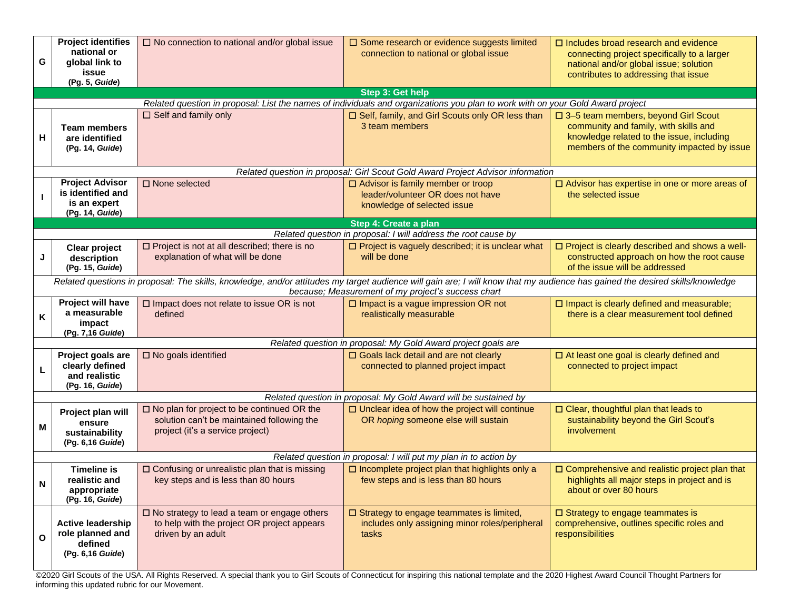| G                                                                                                                                                                                                                                   | <b>Project identifies</b><br>national or<br>global link to<br>issue<br>(Pg. 5, Guide) | $\Box$ No connection to national and/or global issue                                                                                   | $\square$ Some research or evidence suggests limited<br>connection to national or global issue                                 | $\Box$ Includes broad research and evidence<br>connecting project specifically to a larger<br>national and/or global issue; solution<br>contributes to addressing that issue |  |  |  |
|-------------------------------------------------------------------------------------------------------------------------------------------------------------------------------------------------------------------------------------|---------------------------------------------------------------------------------------|----------------------------------------------------------------------------------------------------------------------------------------|--------------------------------------------------------------------------------------------------------------------------------|------------------------------------------------------------------------------------------------------------------------------------------------------------------------------|--|--|--|
|                                                                                                                                                                                                                                     |                                                                                       |                                                                                                                                        | Step 3: Get help                                                                                                               |                                                                                                                                                                              |  |  |  |
|                                                                                                                                                                                                                                     |                                                                                       |                                                                                                                                        | Related question in proposal: List the names of individuals and organizations you plan to work with on your Gold Award project |                                                                                                                                                                              |  |  |  |
| Н                                                                                                                                                                                                                                   | <b>Team members</b><br>are identified<br>(Pg. 14, Guide)                              | $\Box$ Self and family only                                                                                                            | □ Self, family, and Girl Scouts only OR less than<br>3 team members                                                            | □ 3-5 team members, beyond Girl Scout<br>community and family, with skills and<br>knowledge related to the issue, including<br>members of the community impacted by issue    |  |  |  |
|                                                                                                                                                                                                                                     |                                                                                       |                                                                                                                                        | Related question in proposal: Girl Scout Gold Award Project Advisor information                                                |                                                                                                                                                                              |  |  |  |
|                                                                                                                                                                                                                                     | <b>Project Advisor</b><br>is identified and<br>is an expert<br>(Pg. 14, Guide)        | $\square$ None selected                                                                                                                | $\Box$ Advisor is family member or troop<br>leader/volunteer OR does not have<br>knowledge of selected issue                   |                                                                                                                                                                              |  |  |  |
|                                                                                                                                                                                                                                     |                                                                                       |                                                                                                                                        | Step 4: Create a plan                                                                                                          |                                                                                                                                                                              |  |  |  |
|                                                                                                                                                                                                                                     |                                                                                       | Related question in proposal: I will address the root cause by                                                                         |                                                                                                                                |                                                                                                                                                                              |  |  |  |
| J                                                                                                                                                                                                                                   | Clear project<br>description<br>(Pg. 15, Guide)                                       | $\square$ Project is not at all described; there is no<br>explanation of what will be done                                             | $\Box$ Project is vaguely described; it is unclear what<br>will be done                                                        | $\Box$ Project is clearly described and shows a well-<br>constructed approach on how the root cause<br>of the issue will be addressed                                        |  |  |  |
| Related questions in proposal: The skills, knowledge, and/or attitudes my target audience will gain are; I will know that my audience has gained the desired skills/knowledge<br>because; Measurement of my project's success chart |                                                                                       |                                                                                                                                        |                                                                                                                                |                                                                                                                                                                              |  |  |  |
| K                                                                                                                                                                                                                                   | Project will have<br>a measurable<br>impact<br>(Pg. 7,16 Guide)                       | $\square$ Impact does not relate to issue OR is not<br>defined                                                                         | $\square$ Impact is a vague impression OR not<br>realistically measurable                                                      | $\square$ Impact is clearly defined and measurable;<br>there is a clear measurement tool defined                                                                             |  |  |  |
|                                                                                                                                                                                                                                     |                                                                                       |                                                                                                                                        | Related question in proposal: My Gold Award project goals are                                                                  |                                                                                                                                                                              |  |  |  |
|                                                                                                                                                                                                                                     | Project goals are<br>clearly defined<br>and realistic<br>(Pg. 16, Guide)              | $\square$ No goals identified                                                                                                          | □ Goals lack detail and are not clearly<br>connected to planned project impact                                                 | $\Box$ At least one goal is clearly defined and<br>connected to project impact                                                                                               |  |  |  |
|                                                                                                                                                                                                                                     |                                                                                       |                                                                                                                                        | Related question in proposal: My Gold Award will be sustained by                                                               |                                                                                                                                                                              |  |  |  |
| M                                                                                                                                                                                                                                   | Project plan will<br>ensure<br>sustainability<br>(Pg. 6,16 Guide)                     | $\square$ No plan for project to be continued OR the<br>solution can't be maintained following the<br>project (it's a service project) | $\square$ Unclear idea of how the project will continue<br>OR hoping someone else will sustain                                 | □ Clear, thoughtful plan that leads to<br>sustainability beyond the Girl Scout's<br>involvement                                                                              |  |  |  |
| Related question in proposal: I will put my plan in to action by                                                                                                                                                                    |                                                                                       |                                                                                                                                        |                                                                                                                                |                                                                                                                                                                              |  |  |  |
| N                                                                                                                                                                                                                                   | <b>Timeline is</b><br>realistic and<br>appropriate<br>(Pg. 16, Guide)                 | □ Confusing or unrealistic plan that is missing<br>key steps and is less than 80 hours                                                 | $\square$ Incomplete project plan that highlights only a<br>few steps and is less than 80 hours                                | $\square$ Comprehensive and realistic project plan that<br>highlights all major steps in project and is<br>about or over 80 hours                                            |  |  |  |
| O                                                                                                                                                                                                                                   | <b>Active leadership</b><br>role planned and<br>defined<br>(Pg. 6,16 Guide)           | $\square$ No strategy to lead a team or engage others<br>to help with the project OR project appears<br>driven by an adult             | $\square$ Strategy to engage teammates is limited,<br>includes only assigning minor roles/peripheral<br>tasks                  | $\square$ Strategy to engage teammates is<br>comprehensive, outlines specific roles and<br>responsibilities                                                                  |  |  |  |

©2020 Girl Scouts of the USA. All Rights Reserved. A special thank you to Girl Scouts of Connecticut for inspiring this national template and the 2020 Highest Award Council Thought Partners for informing this updated rubric for our Movement.